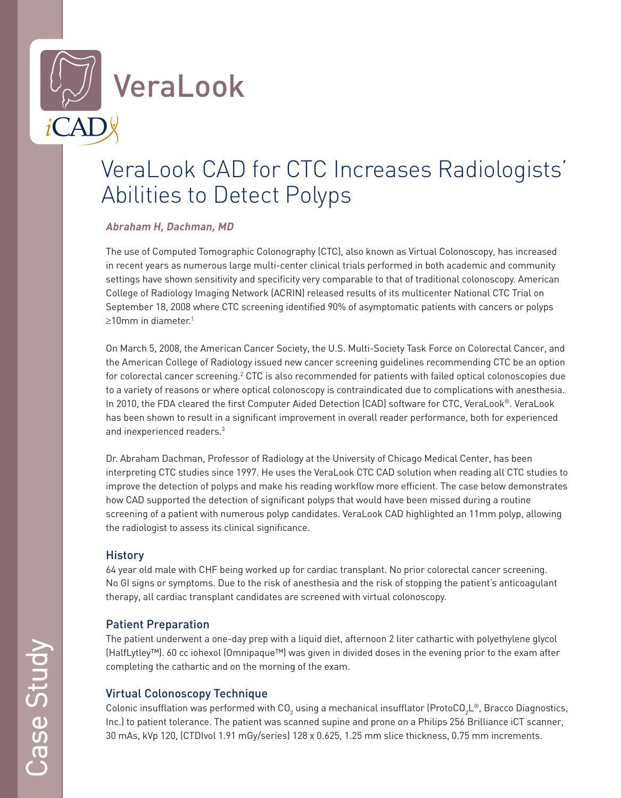

# VeraLook CAD for CTC Increases Radiologists' Abilities to Detect Polyps

#### **Abraham H, Dachman, MD**

The use of Computed Tomographic Colonography (CTC), also known as Virtual Colonoscopy, has increased in recent years as numerous large multi-center clinical trials performed in both academic and community settings have shown sensitivity and specificity very comparable to that of traditional colonoscopy. American College of Radiology Imaging Network (ACRIN) released results of its multicenter National CTC Trial on September 18, 2008 where CTC screening identified 90% of asymptomatic patients with cancers or polyps  $>10$ mm in diameter.<sup>1</sup>

On March 5, 2008, the American Cancer Society, the U.S. Multi-Society Task Force on Colorectal Cancer, and the American College of Radiology issued new cancer screening guidelines recommending CTC be an option for colorectal cancer screening. $^2$  CTC is also recommended for patients with failed optical colonoscopies due to a variety of reasons or where optical colonoscopy is contraindicated due to complications with anesthesia. In 2010, the FDA cleared the first Computer Aided Detection (CAD) software for CTC, VeraLook®. VeraLook has been shown to result in a significant improvement in overall reader performance, both for experienced and inexperienced readers.3

Dr. Abraham Dachman, Professor of Radiology at the University of Chicago Medical Center, has been interpreting CTC studies since 1997. He uses the VeraLook CTC CAD solution when reading all CTC studies to improve the detection of polyps and make his reading workflow more efficient. The case below demonstrates how CAD supported the detection of significant polyps that would have been missed during a routine screening of a patient with numerous polyp candidates. VeraLook CAD highlighted an 11mm polyp, allowing the radiologist to assess its clinical significance.

### **History**

64 year old male with CHF being worked up for cardiac transplant. No prior colorectal cancer screening. No GI signs or symptoms. Due to the risk of anesthesia and the risk of stopping the patient's anticoagulant therapy, all cardiac transplant candidates are screened with virtual colonoscopy.

## Patient Preparation

The patient underwent a one-day prep with a liquid diet, afternoon 2 liter cathartic with polyethylene glycol (HalfLytley™). 60 cc iohexol (Omnipaque™) was given in divided doses in the evening prior to the exam after completing the cathartic and on the morning of the exam.

## Virtual Colonoscopy Technique

Colonic insufflation was performed with CO<sub>2</sub> using a mechanical insufflator (ProtoCO<sub>2</sub>L®, Bracco Diagnostics, Inc.) to patient tolerance. The patient was scanned supine and prone on a Philips 256 Brilliance iCT scanner, 30 mAs, kVp 120, (CTDIvol 1.91 mGy/series) 128 x 0.625, 1.25 mm slice thickness, 0.75 mm increments.